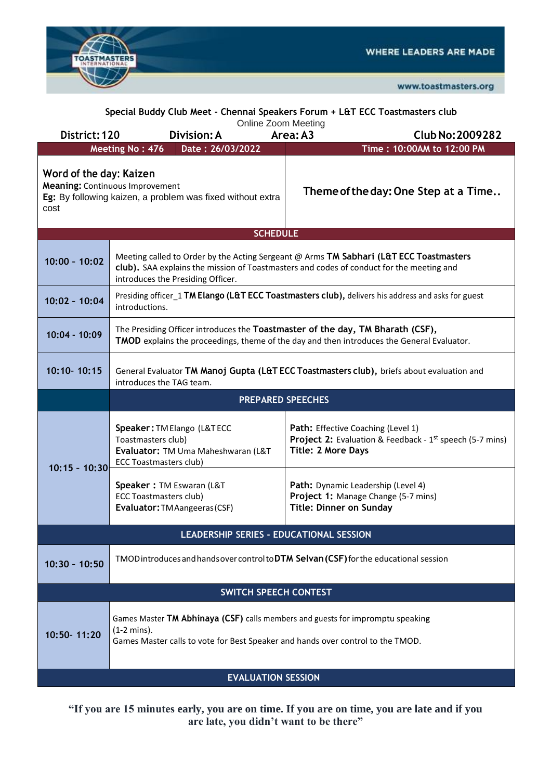

| Special Buddy Club Meet - Chennai Speakers Forum + L&T ECC Toastmasters club<br>Online Zoom Meeting                                     |                                                                                                                                                                                                                         |                                                                                                                             |  |  |  |  |  |
|-----------------------------------------------------------------------------------------------------------------------------------------|-------------------------------------------------------------------------------------------------------------------------------------------------------------------------------------------------------------------------|-----------------------------------------------------------------------------------------------------------------------------|--|--|--|--|--|
| District: 120<br>Division: A                                                                                                            |                                                                                                                                                                                                                         | Area: A3<br>Club No: 2009282                                                                                                |  |  |  |  |  |
|                                                                                                                                         | Date: 26/03/2022<br>Meeting No: 476                                                                                                                                                                                     | Time: 10:00AM to 12:00 PM                                                                                                   |  |  |  |  |  |
| Word of the day: Kaizen<br><b>Meaning: Continuous Improvement</b><br>Eg: By following kaizen, a problem was fixed without extra<br>cost |                                                                                                                                                                                                                         | Theme of the day: One Step at a Time                                                                                        |  |  |  |  |  |
| <b>SCHEDULE</b>                                                                                                                         |                                                                                                                                                                                                                         |                                                                                                                             |  |  |  |  |  |
| $10:00 - 10:02$                                                                                                                         | Meeting called to Order by the Acting Sergeant @ Arms TM Sabhari (L&T ECC Toastmasters<br>club). SAA explains the mission of Toastmasters and codes of conduct for the meeting and<br>introduces the Presiding Officer. |                                                                                                                             |  |  |  |  |  |
| $10:02 - 10:04$                                                                                                                         | Presiding officer_1 TM Elango (L&T ECC Toastmasters club), delivers his address and asks for guest<br>introductions.                                                                                                    |                                                                                                                             |  |  |  |  |  |
| 10:04 - 10:09                                                                                                                           | The Presiding Officer introduces the Toastmaster of the day, TM Bharath (CSF),<br>TMOD explains the proceedings, theme of the day and then introduces the General Evaluator.                                            |                                                                                                                             |  |  |  |  |  |
| 10:10-10:15                                                                                                                             | General Evaluator TM Manoj Gupta (L&T ECC Toastmasters club), briefs about evaluation and<br>introduces the TAG team.                                                                                                   |                                                                                                                             |  |  |  |  |  |
|                                                                                                                                         |                                                                                                                                                                                                                         | <b>PREPARED SPEECHES</b>                                                                                                    |  |  |  |  |  |
| $10:15 - 10:30$                                                                                                                         | Speaker: TM Elango (L&TECC<br>Toastmasters club)<br>Evaluator: TM Uma Maheshwaran (L&T<br><b>ECC Toastmasters club)</b>                                                                                                 | Path: Effective Coaching (Level 1)<br>Project 2: Evaluation & Feedback - 1st speech (5-7 mins)<br><b>Title: 2 More Days</b> |  |  |  |  |  |
|                                                                                                                                         | Speaker: TM Eswaran (L&T<br><b>ECC Toastmasters club)</b><br>Evaluator: TM Aangeeras (CSF)                                                                                                                              | Path: Dynamic Leadership (Level 4)<br>Project 1: Manage Change (5-7 mins)<br><b>Title: Dinner on Sunday</b>                 |  |  |  |  |  |
|                                                                                                                                         | LEADERSHIP SERIES - EDUCATIONAL SESSION                                                                                                                                                                                 |                                                                                                                             |  |  |  |  |  |
| $10:30 - 10:50$                                                                                                                         | TMOD introduces and hands over control to DTM Selvan (CSF) for the educational session                                                                                                                                  |                                                                                                                             |  |  |  |  |  |
|                                                                                                                                         | <b>SWITCH SPEECH CONTEST</b>                                                                                                                                                                                            |                                                                                                                             |  |  |  |  |  |
| 10:50-11:20                                                                                                                             | Games Master TM Abhinaya (CSF) calls members and guests for impromptu speaking<br>$(1-2 \text{ mins})$ .<br>Games Master calls to vote for Best Speaker and hands over control to the TMOD.                             |                                                                                                                             |  |  |  |  |  |
| <b>EVALUATION SESSION</b>                                                                                                               |                                                                                                                                                                                                                         |                                                                                                                             |  |  |  |  |  |

**"If you are 15 minutes early, you are on time. If you are on time, you are late and if you are late, you didn't want to be there"**